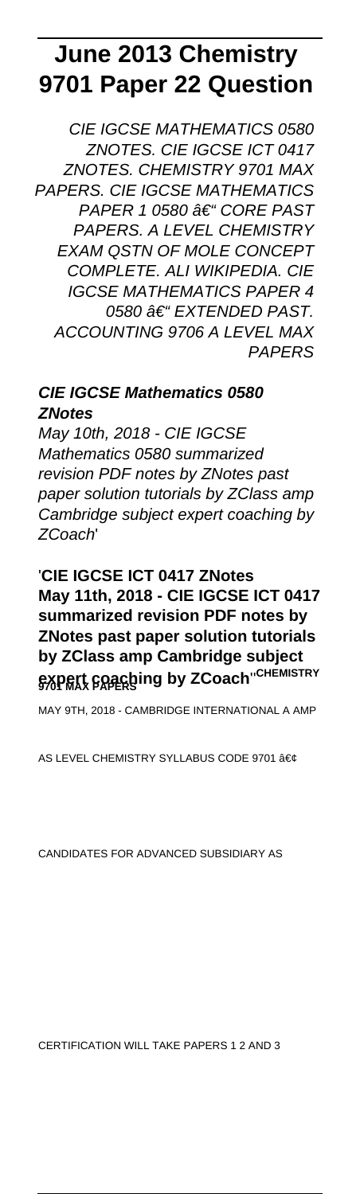# **June 2013 Chemistry 9701 Paper 22 Question**

CIE IGCSE MATHEMATICS 0580 ZNOTES. CIE IGCSE ICT 0417 ZNOTES. CHEMISTRY 9701 MAX PAPERS. CIE IGCSE MATHEMATICS PAPER 1 0580 †"CORE PAST PAPERS. A LEVEL CHEMISTRY EXAM QSTN OF MOLE CONCEPT COMPLETE. ALI WIKIPEDIA. CIE IGCSE MATHEMATICS PAPER 4 0580 – EXTENDED PAST. ACCOUNTING 9706 A LEVEL MAX PAPERS

## **CIE IGCSE Mathematics 0580 ZNotes**

May 10th, 2018 - CIE IGCSE Mathematics 0580 summarized revision PDF notes by ZNotes past paper solution tutorials by ZClass amp Cambridge subject expert coaching by ZCoach'

## '**CIE IGCSE ICT 0417 ZNotes May 11th, 2018 - CIE IGCSE ICT 0417 summarized revision PDF notes by ZNotes past paper solution tutorials by ZClass amp Cambridge subject expert coaching by ZCoach**''**CHEMISTRY 9701 MAX PAPERS**

MAY 9TH, 2018 - CAMBRIDGE INTERNATIONAL A AMP

AS LEVEL CHEMISTRY SYLLABUS CODE 9701 •

CANDIDATES FOR ADVANCED SUBSIDIARY AS

CERTIFICATION WILL TAKE PAPERS 1 2 AND 3